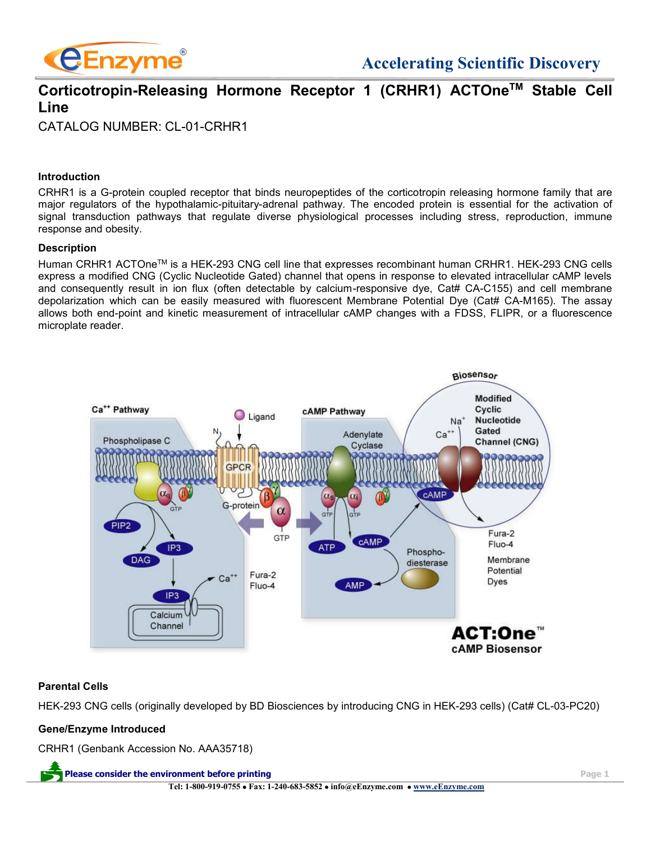

## **Corticotropin-Releasing Hormone Receptor 1 (CRHR1) ACTOneTM Stable Cell Line**

CATALOG NUMBER: CL-01-CRHR1

## **Introduction**

CRHR1 is a G-protein coupled receptor that binds neuropeptides of the corticotropin releasing hormone family that are major regulators of the hypothalamic-pituitary-adrenal pathway. The encoded protein is essential for the activation of signal transduction pathways that regulate diverse physiological processes including stress, reproduction, immune response and obesity.

#### **Description**

Human CRHR1 ACTOneTM is a HEK-293 CNG cell line that expresses recombinant human CRHR1. HEK-293 CNG cells express a modified CNG (Cyclic Nucleotide Gated) channel that opens in response to elevated intracellular cAMP levels and consequently result in ion flux (often detectable by calcium-responsive dye, Cat# CA-C155) and cell membrane depolarization which can be easily measured with fluorescent Membrane Potential Dye (Cat# CA-M165). The assay allows both end-point and kinetic measurement of intracellular cAMP changes with a FDSS, FLIPR, or a fluorescence microplate reader.



#### **Parental Cells**

HEK-293 CNG cells (originally developed by BD Biosciences by introducing CNG in HEK-293 cells) (Cat# CL-03-PC20)

## **Gene/Enzyme Introduced**

CRHR1 (Genbank Accession No. AAA35718)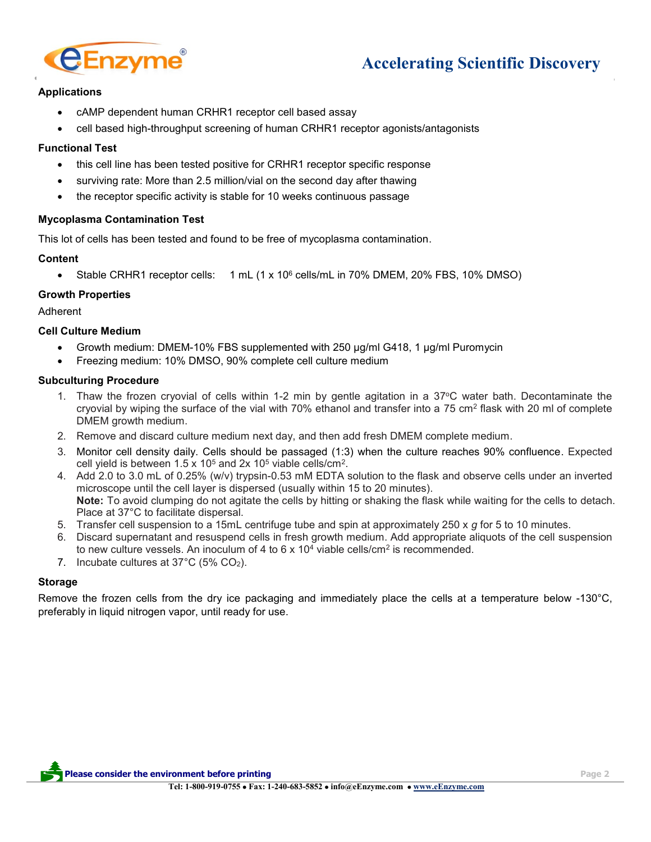

# **Accelerating Scientific Discovery**

## **Applications**

- cAMP dependent human CRHR1 receptor cell based assay
- cell based high-throughput screening of human CRHR1 receptor agonists/antagonists

### **Functional Test**

- this cell line has been tested positive for CRHR1 receptor specific response
- surviving rate: More than 2.5 million/vial on the second day after thawing
- the receptor specific activity is stable for 10 weeks continuous passage

#### **Mycoplasma Contamination Test**

This lot of cells has been tested and found to be free of mycoplasma contamination.

## **Content**

• Stable CRHR1 receptor cells: 1 mL (1 x 10<sup>6</sup> cells/mL in 70% DMEM, 20% FBS, 10% DMSO)

## **Growth Properties**

Adherent

## **Cell Culture Medium**

- Growth medium: DMEM-10% FBS supplemented with 250 µg/ml G418, 1 µg/ml Puromycin
- Freezing medium: 10% DMSO, 90% complete cell culture medium

#### **Subculturing Procedure**

- 1. Thaw the frozen cryovial of cells within 1-2 min by gentle agitation in a 37°C water bath. Decontaminate the cryovial by wiping the surface of the vial with 70% ethanol and transfer into a 75 cm<sup>2</sup> flask with 20 ml of complete DMEM growth medium.
- 2. Remove and discard culture medium next day, and then add fresh DMEM complete medium.
- 3. Monitor cell density daily. Cells should be passaged (1:3) when the culture reaches 90% confluence. Expected cell yield is between  $1.5 \times 10^5$  and  $2x 10^5$  viable cells/cm<sup>2</sup>.
- 4. Add 2.0 to 3.0 mL of 0.25% (w/v) trypsin-0.53 mM EDTA solution to the flask and observe cells under an inverted microscope until the cell layer is dispersed (usually within 15 to 20 minutes). **Note:** To avoid clumping do not agitate the cells by hitting or shaking the flask while waiting for the cells to detach. Place at 37°C to facilitate dispersal.
- 5. Transfer cell suspension to a 15mL centrifuge tube and spin at approximately 250 x *g* for 5 to 10 minutes.
- 6. Discard supernatant and resuspend cells in fresh growth medium. Add appropriate aliquots of the cell suspension to new culture vessels. An inoculum of 4 to 6 x 10<sup>4</sup> viable cells/cm<sup>2</sup> is recommended.
- 7. Incubate cultures at 37°C (5% CO2).

#### **Storage**

Remove the frozen cells from the dry ice packaging and immediately place the cells at a temperature below -130°C, preferably in liquid nitrogen vapor, until ready for use.